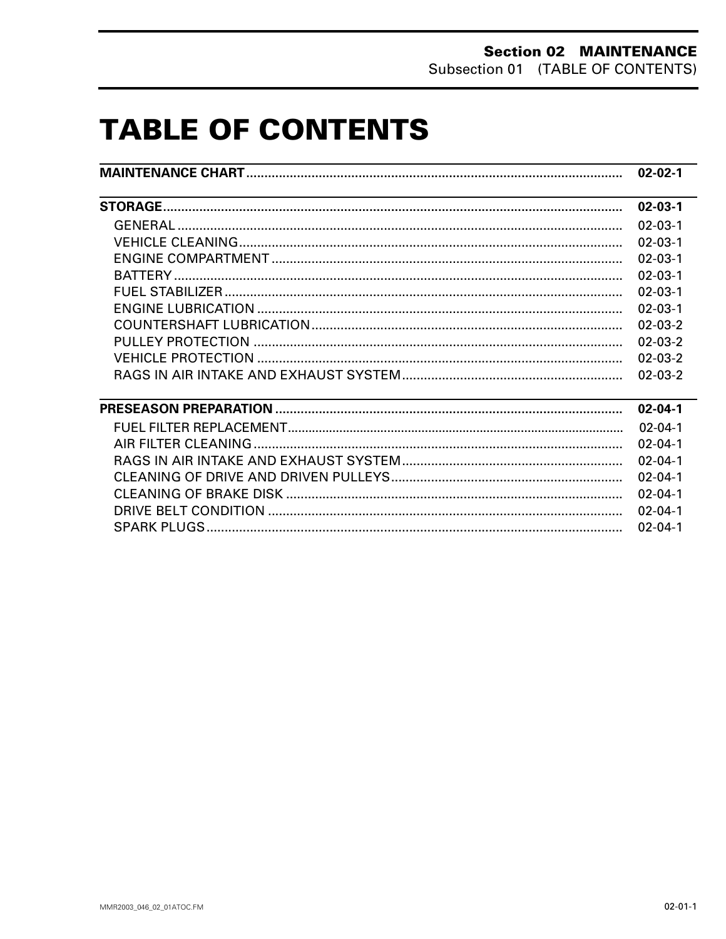# **TABLE OF CONTENTS**

|                                               | $02 - 02 - 1$ |
|-----------------------------------------------|---------------|
| <u> 1989 - Andrea Andrew Maria (h. 1989).</u> | $02 - 03 - 1$ |
|                                               | $02 - 03 - 1$ |
|                                               | $02 - 03 - 1$ |
|                                               | $02 - 03 - 1$ |
|                                               | $02 - 03 - 1$ |
|                                               | $02 - 03 - 1$ |
|                                               | $02 - 03 - 1$ |
|                                               | $02 - 03 - 2$ |
|                                               | $02 - 03 - 2$ |
|                                               | $02 - 03 - 2$ |
|                                               | $02 - 03 - 2$ |
|                                               | $02 - 04 - 1$ |
|                                               | $02 - 04 - 1$ |
|                                               | $02 - 04 - 1$ |
|                                               | $02 - 04 - 1$ |
|                                               | $02 - 04 - 1$ |
|                                               | $02 - 04 - 1$ |
|                                               | $02 - 04 - 1$ |
|                                               | $02 - 04 - 1$ |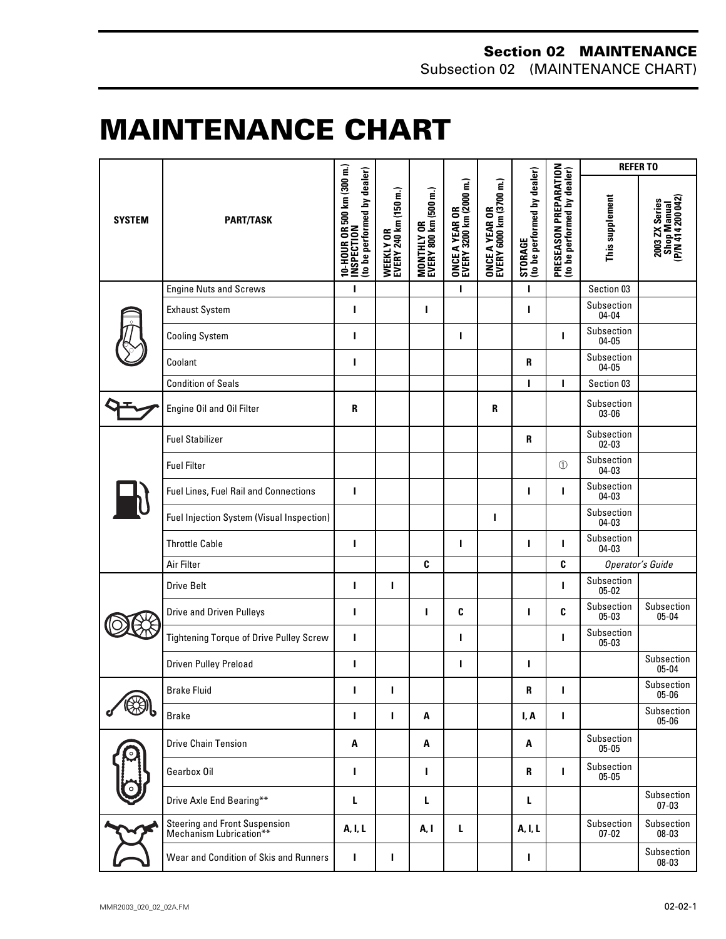# <span id="page-1-0"></span>**MAINTENANCE CHART 0**

| <b>SYSTEM</b> | <b>PART/TASK</b>                                         | 10-HOUR OR 500 km (300 m.)<br>INSPECTION<br>(to be performed by dealer) | WEEKLY OR<br>EVERY 240 km (150 m.) | MONTHLY OR<br>EVERY 800 km (500 m.) | ONCE A YEAR OR<br>EVERY 3200 km (2000 m.) | ONCE A YEAR OR<br>EVERY 6000 km (3700 m.) | STORAGE<br>(to be performed by dealer) | PRESEASON PREPARATION<br>(to be performed by dealer) | <b>REFERTO</b>          |                                                    |
|---------------|----------------------------------------------------------|-------------------------------------------------------------------------|------------------------------------|-------------------------------------|-------------------------------------------|-------------------------------------------|----------------------------------------|------------------------------------------------------|-------------------------|----------------------------------------------------|
|               |                                                          |                                                                         |                                    |                                     |                                           |                                           |                                        |                                                      | This supplement         | Shop Manual<br>(P/N 414 200 042)<br>2003 ZX Series |
|               | <b>Engine Nuts and Screws</b>                            | ı                                                                       |                                    |                                     | т                                         |                                           | ı                                      |                                                      | Section 03              |                                                    |
|               | <b>Exhaust System</b>                                    | ı                                                                       |                                    | ı                                   |                                           |                                           | ı                                      |                                                      | Subsection<br>$04 - 04$ |                                                    |
|               | <b>Cooling System</b>                                    | ı                                                                       |                                    |                                     | т                                         |                                           |                                        | г                                                    | Subsection<br>$04 - 05$ |                                                    |
|               | Coolant                                                  | п                                                                       |                                    |                                     |                                           |                                           | $\mathbf{R}$                           |                                                      | Subsection<br>04-05     |                                                    |
|               | <b>Condition of Seals</b>                                |                                                                         |                                    |                                     |                                           |                                           | ı                                      | п                                                    | Section 03              |                                                    |
|               | Engine Oil and Oil Filter                                | R                                                                       |                                    |                                     |                                           | R                                         |                                        |                                                      | Subsection<br>03-06     |                                                    |
|               | <b>Fuel Stabilizer</b>                                   |                                                                         |                                    |                                     |                                           |                                           | $\mathbf{R}$                           |                                                      | Subsection<br>$02 - 03$ |                                                    |
|               | <b>Fuel Filter</b>                                       |                                                                         |                                    |                                     |                                           |                                           |                                        | (1)                                                  | Subsection<br>$04 - 03$ |                                                    |
|               | Fuel Lines, Fuel Rail and Connections                    | г                                                                       |                                    |                                     |                                           |                                           | ı                                      | ı                                                    | Subsection<br>04-03     |                                                    |
|               | Fuel Injection System (Visual Inspection)                |                                                                         |                                    |                                     |                                           | ı                                         |                                        |                                                      | Subsection<br>04-03     |                                                    |
|               | <b>Throttle Cable</b>                                    | ı                                                                       |                                    |                                     | I.                                        |                                           | ı                                      | ı                                                    | Subsection<br>04-03     |                                                    |
|               | Air Filter                                               |                                                                         |                                    | C                                   |                                           |                                           |                                        | C                                                    |                         | Operator's Guide                                   |
|               | <b>Drive Belt</b>                                        | ı                                                                       | п                                  |                                     |                                           |                                           |                                        | ı                                                    | Subsection<br>$05 - 02$ |                                                    |
|               | <b>Drive and Driven Pulleys</b>                          | т                                                                       |                                    | ı                                   | C                                         |                                           | т                                      | C                                                    | Subsection<br>$05 - 03$ | Subsection<br>$05 - 04$                            |
|               | <b>Tightening Torque of Drive Pulley Screw</b>           | I                                                                       |                                    |                                     | ı                                         |                                           |                                        | ı                                                    | Subsection<br>05-03     |                                                    |
|               | Driven Pulley Preload                                    | п                                                                       |                                    |                                     | ı                                         |                                           | ı                                      |                                                      |                         | Subsection<br>$05 - 04$                            |
|               | <b>Brake Fluid</b>                                       |                                                                         |                                    |                                     |                                           |                                           | R                                      |                                                      |                         | Subsection<br>$05 - 06$                            |
|               | <b>Brake</b>                                             | п                                                                       | т                                  | A                                   |                                           |                                           | I, A                                   | I                                                    |                         | Subsection<br>$05 - 06$                            |
|               | <b>Drive Chain Tension</b>                               | A                                                                       |                                    | Α                                   |                                           |                                           | A                                      |                                                      | Subsection<br>$05 - 05$ |                                                    |
|               | Gearbox Oil                                              | ı                                                                       |                                    | п                                   |                                           |                                           | R                                      | г                                                    | Subsection<br>$05 - 05$ |                                                    |
|               | Drive Axle End Bearing**                                 | L                                                                       |                                    | L                                   |                                           |                                           | L                                      |                                                      |                         | Subsection<br>$07 - 03$                            |
|               | Steering and Front Suspension<br>Mechanism Lubrication** | A, I, L                                                                 |                                    | A, I                                | L                                         |                                           | A, I, L                                |                                                      | Subsection<br>$07 - 02$ | Subsection<br>08-03                                |
|               | Wear and Condition of Skis and Runners                   | ı                                                                       | L                                  |                                     |                                           |                                           | ı                                      |                                                      |                         | Subsection<br>08-03                                |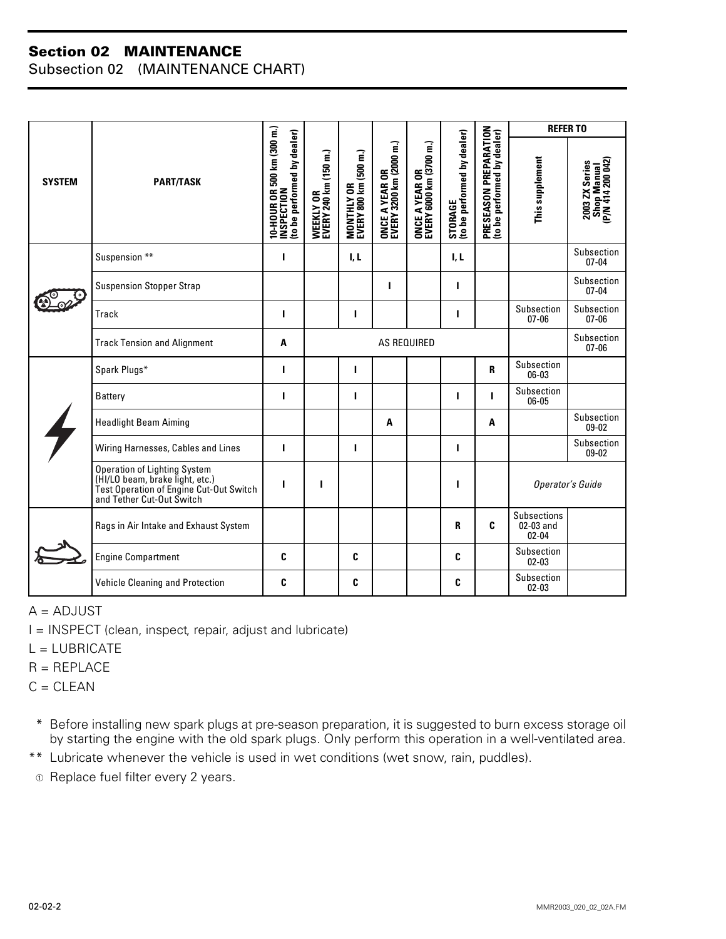#### **Section 02 MAINTENANCE**

Subsection 02 (MAINTENANCE CHART)

| <b>SYSTEM</b> |                                                                                                                                         |                                                                        |                                    |                                     |                                           |                                           |                                        |                                                      | <b>REFERTO</b>                               |                                                    |
|---------------|-----------------------------------------------------------------------------------------------------------------------------------------|------------------------------------------------------------------------|------------------------------------|-------------------------------------|-------------------------------------------|-------------------------------------------|----------------------------------------|------------------------------------------------------|----------------------------------------------|----------------------------------------------------|
|               | <b>PART/TASK</b>                                                                                                                        | 10-HOUR OR 500 km (300 m.)<br>INSPECTION<br>to be performed by dealer) | WEEKLY OR<br>EVERY 240 km (150 m.) | MONTHLY OR<br>EVERY 800 km (500 m.) | ONCE A YEAR OR<br>EVERY 3200 km (2000 m.) | ONCE A YEAR OR<br>EVERY 6000 km (3700 m.) | STORAGE<br>(to be performed by dealer) | PRESEASON PREPARATION<br>(to be performed by dealer) | This supplement                              | Shop Manual<br>(P/N 414 200 042)<br>2003 ZX Series |
|               | Suspension **                                                                                                                           | ı                                                                      |                                    | I, L                                |                                           |                                           | I, L                                   |                                                      |                                              | Subsection<br>$07 - 04$                            |
|               | <b>Suspension Stopper Strap</b>                                                                                                         |                                                                        |                                    |                                     | ı                                         |                                           | ш                                      |                                                      |                                              | Subsection<br>$07 - 04$                            |
|               | <b>Track</b>                                                                                                                            | п                                                                      |                                    | п                                   |                                           |                                           | ı                                      |                                                      | Subsection<br>$07 - 06$                      | Subsection<br>$07 - 06$                            |
|               | <b>Track Tension and Alignment</b>                                                                                                      | A                                                                      | <b>AS REQUIRED</b>                 |                                     |                                           |                                           |                                        |                                                      |                                              | Subsection<br>$07 - 06$                            |
|               | Spark Plugs*                                                                                                                            | ı                                                                      |                                    |                                     |                                           |                                           |                                        | $\mathbf{R}$                                         | Subsection<br>06-03                          |                                                    |
|               | <b>Battery</b>                                                                                                                          | ı                                                                      |                                    | L                                   |                                           |                                           | ı                                      | ı                                                    | Subsection<br>06-05                          |                                                    |
|               | <b>Headlight Beam Aiming</b>                                                                                                            |                                                                        |                                    |                                     | A                                         |                                           |                                        | A                                                    |                                              | Subsection<br>09-02                                |
|               | Wiring Harnesses, Cables and Lines                                                                                                      | ı                                                                      |                                    | ı                                   |                                           |                                           | п                                      |                                                      |                                              | Subsection<br>09-02                                |
|               | Operation of Lighting System<br>(HI/LO beam, brake light, etc.)<br>Test Operation of Engine Cut-Out Switch<br>and Tether Cut-Out Switch | ı                                                                      | T                                  |                                     |                                           |                                           | ı                                      |                                                      | Operator's Guide                             |                                                    |
|               | Rags in Air Intake and Exhaust System                                                                                                   |                                                                        |                                    |                                     |                                           |                                           | R                                      | C                                                    | <b>Subsections</b><br>02-03 and<br>$02 - 04$ |                                                    |
|               | <b>Engine Compartment</b>                                                                                                               | C                                                                      |                                    | C                                   |                                           |                                           | C                                      |                                                      | Subsection<br>$02 - 03$                      |                                                    |
|               | Vehicle Cleaning and Protection                                                                                                         | C                                                                      |                                    | C                                   |                                           |                                           | C                                      |                                                      | Subsection<br>$02 - 03$                      |                                                    |

 $A = ADJUST$ 

I = INSPECT (clean, inspect, repair, adjust and lubricate)

 $L = LUBRICATE$ 

 $R = REPLACE$ 

 $C = CLEAN$ 

\*\* Before installing new spark plugs at pre-season preparation, it is suggested to burn excess storage oil by starting the engine with the old spark plugs. Only perform this operation in a well-ventilated area.

\*\* Lubricate whenever the vehicle is used in wet conditions (wet snow, rain, puddles).

 $\circledcirc$  Replace fuel filter every 2 years.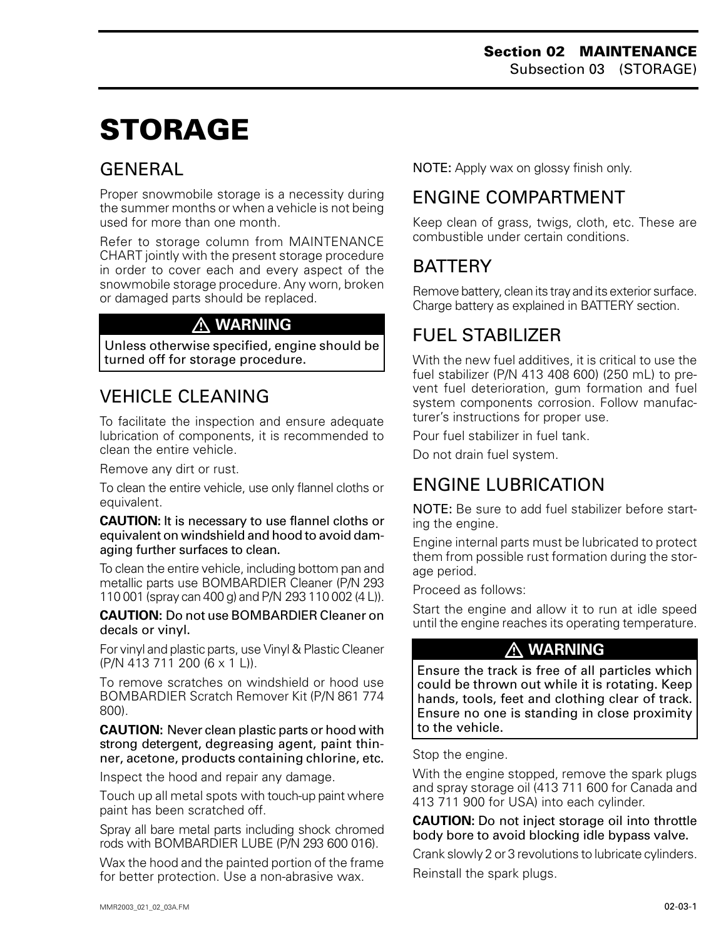# <span id="page-3-0"></span>**STORAGE 0**

## GENERAL

Proper snowmobile storage is a necessity during the summer months or when a vehicle is not being used for more than one month.

Refer to storage column from MAINTENANCE CHART jointly with the present storage procedure in order to cover each and every aspect of the snowmobile storage procedure. Any worn, broken or damaged parts should be replaced.

#### **WARNING**

Unless otherwise specified, engine should be turned off for storage procedure.

## VEHICLE CLEANING

To facilitate the inspection and ensure adequate lubrication of components, it is recommended to clean the entire vehicle.

Remove any dirt or rust.

To clean the entire vehicle, use only flannel cloths or equivalent.

**CAUTION:** It is necessary to use flannel cloths or equivalent on windshield and hood to avoid damaging further surfaces to clean.

To clean the entire vehicle, including bottom pan and metallic parts use BOMBARDIER Cleaner (P/N 293 110 001 (spray can 400 g) and P/N 293 110 002 (4 L)).

**CAUTION:** Do not use BOMBARDIER Cleaner on decals or vinyl.

For vinyl and plastic parts, use Vinyl & Plastic Cleaner (P/N 413 711 200 (6 x 1 L)).

To remove scratches on windshield or hood use BOMBARDIER Scratch Remover Kit (P/N 861 774 800).

**CAUTION:** Never clean plastic parts or hood with strong detergent, degreasing agent, paint thinner, acetone, products containing chlorine, etc.

Inspect the hood and repair any damage.

Touch up all metal spots with touch-up paint where paint has been scratched off.

Spray all bare metal parts including shock chromed rods with BOMBARDIER LUBE (P/N 293 600 016).

Wax the hood and the painted portion of the frame for better protection. Use a non-abrasive wax.

NOTE: Apply wax on glossy finish only.

## ENGINE COMPARTMENT

Keep clean of grass, twigs, cloth, etc. These are combustible under certain conditions.

## BATTERY

Remove battery, clean its tray and its exterior surface. Charge battery as explained in BATTERY section.

## FUEL STABILIZER

With the new fuel additives, it is critical to use the fuel stabilizer (P/N 413 408 600) (250 mL) to prevent fuel deterioration, gum formation and fuel system components corrosion. Follow manufacturer's instructions for proper use.

Pour fuel stabilizer in fuel tank.

Do not drain fuel system.

## ENGINE LUBRICATION

NOTE: Be sure to add fuel stabilizer before starting the engine.

Engine internal parts must be lubricated to protect them from possible rust formation during the storage period.

Proceed as follows:

Start the engine and allow it to run at idle speed until the engine reaches its operating temperature.

#### **WARNING**

Ensure the track is free of all particles which could be thrown out while it is rotating. Keep hands, tools, feet and clothing clear of track. Ensure no one is standing in close proximity to the vehicle.

Stop the engine.

With the engine stopped, remove the spark plugs and spray storage oil (413 711 600 for Canada and 413 711 900 for USA) into each cylinder.

**CAUTION:** Do not inject storage oil into throttle body bore to avoid blocking idle bypass valve.

Crank slowly 2 or 3 revolutions to lubricate cylinders. Reinstall the spark plugs.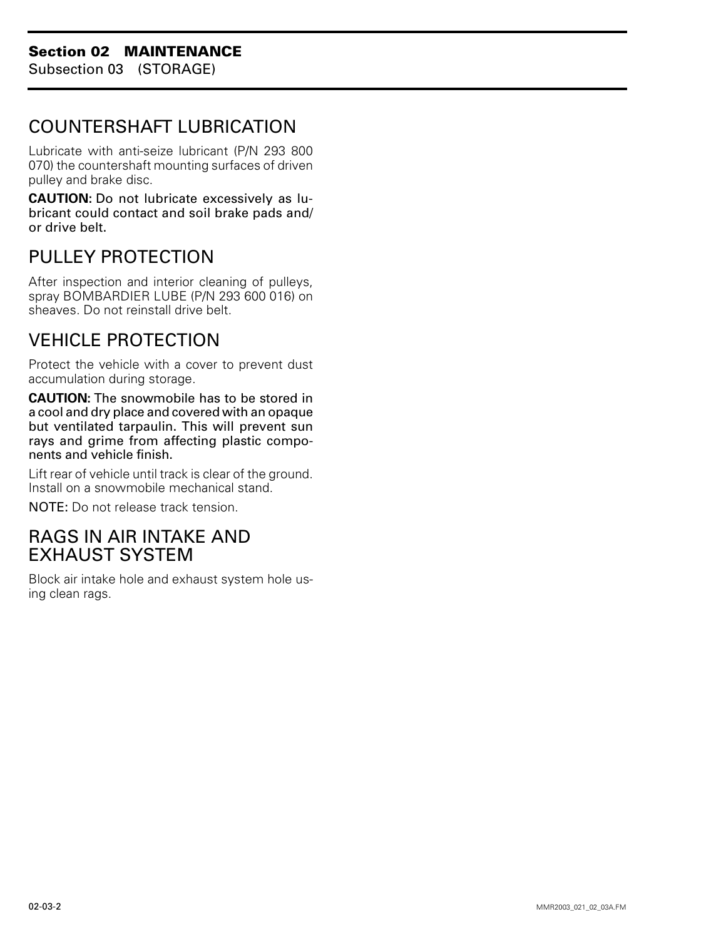#### <span id="page-4-0"></span>COUNTERSHAFT LUBRICATION

Lubricate with anti-seize lubricant (P/N 293 800 070) the countershaft mounting surfaces of driven pulley and brake disc.

**CAUTION:** Do not lubricate excessively as lubricant could contact and soil brake pads and/ or drive belt.

## PULLEY PROTECTION

After inspection and interior cleaning of pulleys, spray BOMBARDIER LUBE (P/N 293 600 016) on sheaves. Do not reinstall drive belt.

## VEHICLE PROTECTION

Protect the vehicle with a cover to prevent dust accumulation during storage.

**CAUTION:** The snowmobile has to be stored in a cool and dry place and covered with an opaque but ventilated tarpaulin. This will prevent sun rays and grime from affecting plastic components and vehicle finish.

Lift rear of vehicle until track is clear of the ground. Install on a snowmobile mechanical stand.

NOTE: Do not release track tension.

#### RAGS IN AIR INTAKE AND EXHAUST SYSTEM

Block air intake hole and exhaust system hole using clean rags.